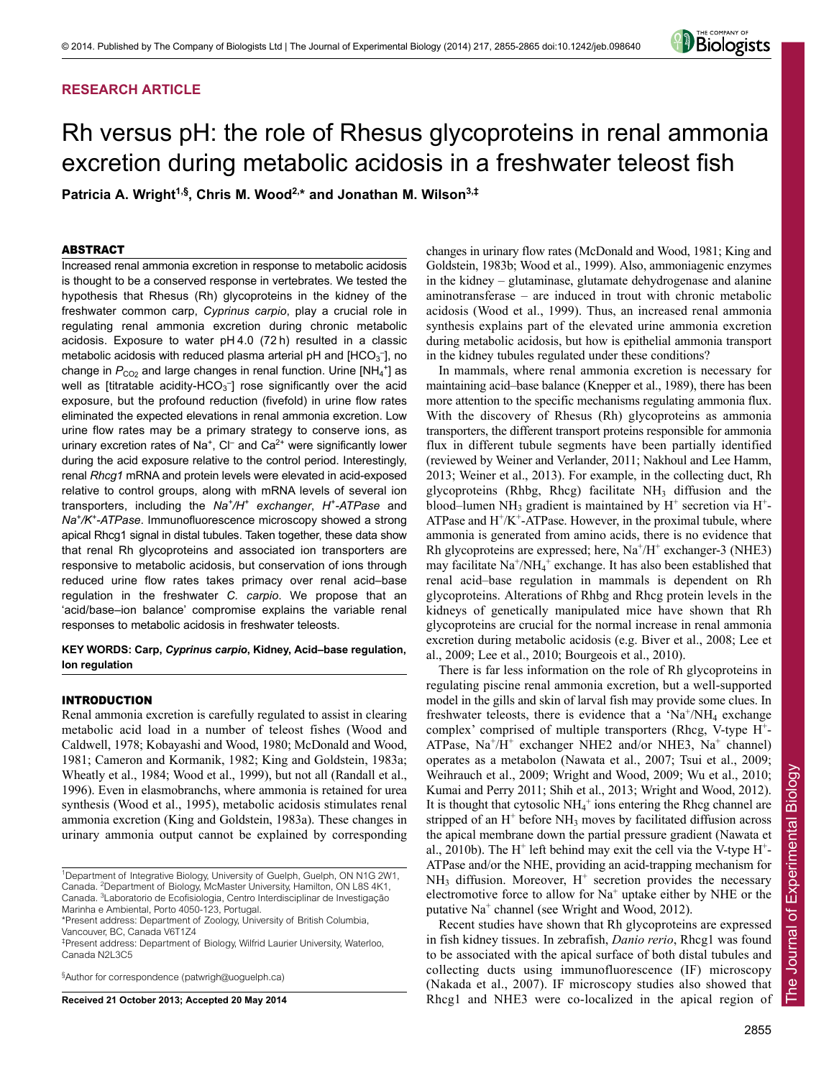# **RESEARCH ARTICLE**



# Rh versus pH: the role of Rhesus glycoproteins in renal ammonia excretion during metabolic acidosis in a freshwater teleost fish

Patricia A. Wright<sup>1,§</sup>, Chris M. Wood<sup>2,\*</sup> and Jonathan M. Wilson<sup>3,‡</sup>

## ABSTRACT

Increased renal ammonia excretion in response to metabolic acidosis is thought to be a conserved response in vertebrates. We tested the hypothesis that Rhesus (Rh) glycoproteins in the kidney of the freshwater common carp, *Cyprinus carpio*, play a crucial role in regulating renal ammonia excretion during chronic metabolic acidosis. Exposure to water pH 4.0 (72 h) resulted in a classic metabolic acidosis with reduced plasma arterial pH and  $[HCO<sub>3</sub>$ <sup>-</sup>, no change in  $P_{CO_2}$  and large changes in renal function. Urine  $[NH_4^+]$  as well as [titratable acidity-HCO<sub>3</sub><sup>-</sup>] rose significantly over the acid exposure, but the profound reduction (fivefold) in urine flow rates eliminated the expected elevations in renal ammonia excretion. Low urine flow rates may be a primary strategy to conserve ions, as urinary excretion rates of Na<sup>+</sup>, C $\vert$  and Ca<sup>2+</sup> were significantly lower during the acid exposure relative to the control period. Interestingly, renal *Rhcg1* mRNA and protein levels were elevated in acid-exposed relative to control groups, along with mRNA levels of several ion transporters, including the *Na+/H+ exchanger*, *H+-ATPase* and *Na+/K+-ATPase*. Immunofluorescence microscopy showed a strong apical Rhcg1 signal in distal tubules. Taken together, these data show that renal Rh glycoproteins and associated ion transporters are responsive to metabolic acidosis, but conservation of ions through reduced urine flow rates takes primacy over renal acid–base regulation in the freshwater *C. carpio*. We propose that an 'acid/base–ion balance' compromise explains the variable renal responses to metabolic acidosis in freshwater teleosts.

# **KEY WORDS: Carp,** *Cyprinus carpio***, Kidney, Acid–base regulation, Ion regulation**

## INTRODUCTION

Renal ammonia excretion is carefully regulated to assist in clearing metabolic acid load in a number of teleost fishes (Wood and Caldwell, 1978; Kobayashi and Wood, 1980; McDonald and Wood, 1981; Cameron and Kormanik, 1982; King and Goldstein, 1983a; Wheatly et al., 1984; Wood et al., 1999), but not all (Randall et al., 1996). Even in elasmobranchs, where ammonia is retained for urea synthesis (Wood et al., 1995), metabolic acidosis stimulates renal ammonia excretion (King and Goldstein, 1983a). These changes in urinary ammonia output cannot be explained by corresponding

§ Author for correspondence (patwrigh@uoguelph.ca)

**Received 21 October 2013; Accepted 20 May 2014**

changes in urinary flow rates (McDonald and Wood, 1981; King and Goldstein, 1983b; Wood et al., 1999). Also, ammoniagenic enzymes in the kidney – glutaminase, glutamate dehydrogenase and alanine aminotransferase – are induced in trout with chronic metabolic acidosis (Wood et al., 1999). Thus, an increased renal ammonia synthesis explains part of the elevated urine ammonia excretion during metabolic acidosis, but how is epithelial ammonia transport in the kidney tubules regulated under these conditions?

In mammals, where renal ammonia excretion is necessary for maintaining acid–base balance (Knepper et al., 1989), there has been more attention to the specific mechanisms regulating ammonia flux. With the discovery of Rhesus (Rh) glycoproteins as ammonia transporters, the different transport proteins responsible for ammonia flux in different tubule segments have been partially identified (reviewed by Weiner and Verlander, 2011; Nakhoul and Lee Hamm, 2013; Weiner et al., 2013). For example, in the collecting duct, Rh glycoproteins (Rhbg, Rhcg) facilitate  $NH<sub>3</sub>$  diffusion and the blood–lumen NH<sub>3</sub> gradient is maintained by H<sup>+</sup> secretion via H<sup>+</sup>-ATPase and  $H^+$ /K<sup>+</sup>-ATPase. However, in the proximal tubule, where ammonia is generated from amino acids, there is no evidence that Rh glycoproteins are expressed; here,  $Na<sup>+/H<sup>+</sup></sup>$  exchanger-3 (NHE3) may facilitate  $\text{Na}^+ / \text{NH}_4^+$  exchange. It has also been established that renal acid–base regulation in mammals is dependent on Rh glycoproteins. Alterations of Rhbg and Rhcg protein levels in the kidneys of genetically manipulated mice have shown that Rh glycoproteins are crucial for the normal increase in renal ammonia excretion during metabolic acidosis (e.g. Biver et al., 2008; Lee et al., 2009; Lee et al., 2010; Bourgeois et al., 2010).

There is far less information on the role of Rh glycoproteins in regulating piscine renal ammonia excretion, but a well-supported model in the gills and skin of larval fish may provide some clues. In freshwater teleosts, there is evidence that a 'Na<sup>+</sup>/NH<sub>4</sub> exchange complex' comprised of multiple transporters (Rhcg, V-type H+- ATPase,  $Na^{+}/H^{+}$  exchanger NHE2 and/or NHE3,  $Na^{+}$  channel) operates as a metabolon (Nawata et al., 2007; Tsui et al., 2009; Weihrauch et al., 2009; Wright and Wood, 2009; Wu et al., 2010; Kumai and Perry 2011; Shih et al., 2013; Wright and Wood, 2012). It is thought that cytosolic  $NH_4^+$  ions entering the Rhcg channel are stripped of an  $H^+$  before NH<sub>3</sub> moves by facilitated diffusion across the apical membrane down the partial pressure gradient (Nawata et al., 2010b). The  $H^+$  left behind may exit the cell via the V-type  $H^+$ -ATPase and/or the NHE, providing an acid-trapping mechanism for  $NH<sub>3</sub>$  diffusion. Moreover,  $H<sup>+</sup>$  secretion provides the necessary electromotive force to allow for  $Na<sup>+</sup>$  uptake either by NHE or the putative Na<sup>+</sup> channel (see Wright and Wood, 2012).

Recent studies have shown that Rh glycoproteins are expressed in fish kidney tissues. In zebrafish, *Danio rerio*, Rhcg1 was found to be associated with the apical surface of both distal tubules and collecting ducts using immunofluorescence (IF) microscopy (Nakada et al., 2007). IF microscopy studies also showed that Rhcg1 and NHE3 were co-localized in the apical region of

<sup>&</sup>lt;sup>1</sup>Department of Integrative Biology, University of Guelph, Guelph, ON N1G 2W1, Canada. <sup>2</sup>Department of Biology, McMaster University, Hamilton, ON L8S 4K1, Canada. <sup>3</sup> Laboratorio de Ecofisiologia, Centro Interdisciplinar de Investigação Marinha e Ambiental, Porto 4050-123, Portugal.

<sup>\*</sup>Present address: Department of Zoology, University of British Columbia, Vancouver, BC, Canada V6T1Z4

<sup>‡</sup> Present address: Department of Biology, Wilfrid Laurier University, Waterloo, Canada N2L3C5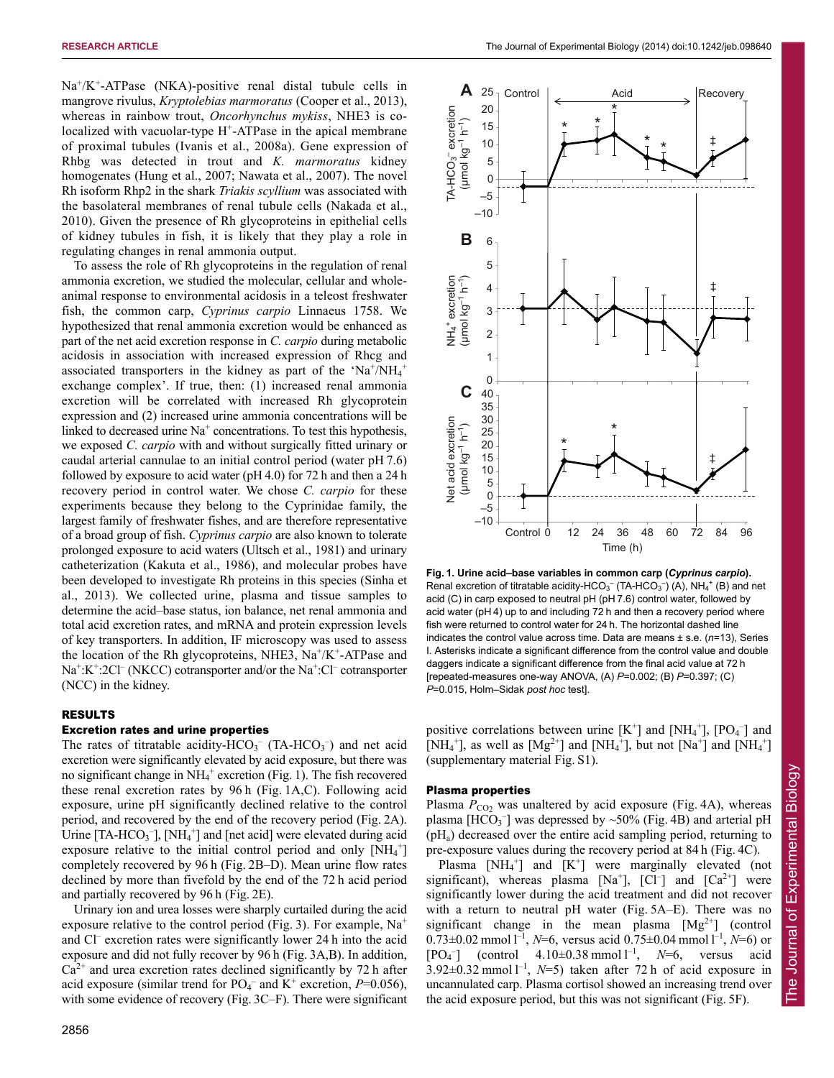$Na<sup>+</sup>/K<sup>+</sup>-ATPase$  (NKA)-positive renal distal tubule cells in mangrove rivulus, *Kryptolebias marmoratus* (Cooper et al., 2013), whereas in rainbow trout, *Oncorhynchus mykiss*, NHE3 is colocalized with vacuolar-type H<sup>+</sup>-ATPase in the apical membrane of proximal tubules (Ivanis et al., 2008a). Gene expression of Rhbg was detected in trout and *K. marmoratus* kidney homogenates (Hung et al., 2007; Nawata et al., 2007). The novel Rh isoform Rhp2 in the shark *Triakis scyllium* was associated with the basolateral membranes of renal tubule cells (Nakada et al., 2010). Given the presence of Rh glycoproteins in epithelial cells of kidney tubules in fish, it is likely that they play a role in regulating changes in renal ammonia output.

To assess the role of Rh glycoproteins in the regulation of renal ammonia excretion, we studied the molecular, cellular and wholeanimal response to environmental acidosis in a teleost freshwater fish, the common carp, *Cyprinus carpio* Linnaeus 1758. We hypothesized that renal ammonia excretion would be enhanced as part of the net acid excretion response in *C. carpio* during metabolic acidosis in association with increased expression of Rhcg and associated transporters in the kidney as part of the 'Na<sup>+</sup>/NH<sub>4</sub><sup>+</sup> exchange complex'. If true, then: (1) increased renal ammonia excretion will be correlated with increased Rh glycoprotein expression and (2) increased urine ammonia concentrations will be linked to decreased urine  $Na<sup>+</sup>$  concentrations. To test this hypothesis, we exposed *C. carpio* with and without surgically fitted urinary or caudal arterial cannulae to an initial control period (water pH 7.6) followed by exposure to acid water (pH 4.0) for 72 h and then a 24 h recovery period in control water. We chose *C. carpio* for these experiments because they belong to the Cyprinidae family, the largest family of freshwater fishes, and are therefore representative of a broad group of fish. *Cyprinus carpio* are also known to tolerate prolonged exposure to acid waters (Ultsch et al., 1981) and urinary catheterization (Kakuta et al., 1986), and molecular probes have been developed to investigate Rh proteins in this species (Sinha et al., 2013). We collected urine, plasma and tissue samples to determine the acid–base status, ion balance, net renal ammonia and total acid excretion rates, and mRNA and protein expression levels of key transporters. In addition, IF microscopy was used to assess the location of the Rh glycoproteins, NHE3,  $Na^+/K^+$ -ATPase and Na<sup>+</sup>:K<sup>+</sup>:2Cl<sup>-</sup> (NKCC) cotransporter and/or the Na<sup>+</sup>:Cl<sup>-</sup> cotransporter (NCC) in the kidney.

## RESULTS

# Excretion rates and urine properties

The rates of titratable acidity-HCO<sub>3</sub><sup>-</sup> (TA-HCO<sub>3</sub><sup>-</sup>) and net acid excretion were significantly elevated by acid exposure, but there was no significant change in NH<sub>4</sub><sup>+</sup> excretion (Fig. 1). The fish recovered these renal excretion rates by 96 h (Fig. 1A,C). Following acid exposure, urine pH significantly declined relative to the control period, and recovered by the end of the recovery period (Fig. 2A). Urine  $[TA-HCO<sub>3</sub>^-]$ ,  $[NH<sub>4</sub><sup>+</sup>]$  and [net acid] were elevated during acid exposure relative to the initial control period and only  $[NH_4^+]$ completely recovered by 96 h (Fig. 2B–D). Mean urine flow rates declined by more than fivefold by the end of the 72 h acid period and partially recovered by 96 h (Fig. 2E).

Urinary ion and urea losses were sharply curtailed during the acid exposure relative to the control period (Fig. 3). For example,  $Na<sup>+</sup>$ and Cl– excretion rates were significantly lower 24 h into the acid exposure and did not fully recover by 96 h (Fig. 3A,B). In addition,  $Ca<sup>2+</sup>$  and urea excretion rates declined significantly by 72 h after acid exposure (similar trend for  $PO_4^-$  and  $K^+$  excretion,  $P=0.056$ ), with some evidence of recovery (Fig. 3C–F). There were significant



**Fig. 1. Urine acid–base variables in common carp (***Cyprinus carpio***).** Renal excretion of titratable acidity-HCO<sub>3</sub><sup>-</sup> (TA-HCO<sub>3</sub><sup>-</sup>) (A), NH<sub>4</sub><sup>+</sup> (B) and net acid (C) in carp exposed to neutral pH (pH 7.6) control water, followed by acid water (pH 4) up to and including 72 h and then a recovery period where fish were returned to control water for 24 h. The horizontal dashed line indicates the control value across time. Data are means ± s.e. (*n*=13), Series I. Asterisks indicate a significant difference from the control value and double daggers indicate a significant difference from the final acid value at 72 h [repeated-measures one-way ANOVA, (A) *P*=0.002; (B) *P*=0.397; (C) *P*=0.015, Holm–Sidak *post hoc* test].

positive correlations between urine  $[K^+]$  and  $[NH_4^+]$ ,  $[PO_4^-]$  and [NH<sub>4</sub><sup>+</sup>], as well as [Mg<sup>2+</sup>] and [NH<sub>4</sub><sup>+</sup>], but not [Na<sup>+</sup>] and [NH<sub>4</sub><sup>+</sup>] (supplementary material Fig. S1).

## Plasma properties

Plasma  $P_{CO}$  was unaltered by acid exposure (Fig. 4A), whereas plasma [HCO<sub>3</sub><sup>-</sup>] was depressed by  $\sim$ 50% (Fig. 4B) and arterial pH (pHa) decreased over the entire acid sampling period, returning to pre-exposure values during the recovery period at 84 h (Fig. 4C).

Plasma  $[NH_4^+]$  and  $[K^+]$  were marginally elevated (not significant), whereas plasma  $[Na^+]$ ,  $[Cl^-]$  and  $[Ca^{2+}]$  were significantly lower during the acid treatment and did not recover with a return to neutral pH water (Fig. 5A–E). There was no significant change in the mean plasma  $[Mg^{2+}]$  (control 0.73±0.02 mmol l –1, *N*=6, versus acid 0.75±0.04 mmol l –1, *N*=6) or [PO<sub>4</sub><sup>-</sup>] (control  $4.10 \pm 0.38$  mmol  $1^{-1}$ ,  $N=6$ , versus acid  $3.92\pm0.32$  mmol  $1^{-1}$ ,  $N=5$ ) taken after 72 h of acid exposure in uncannulated carp. Plasma cortisol showed an increasing trend over the acid exposure period, but this was not significant (Fig. 5F).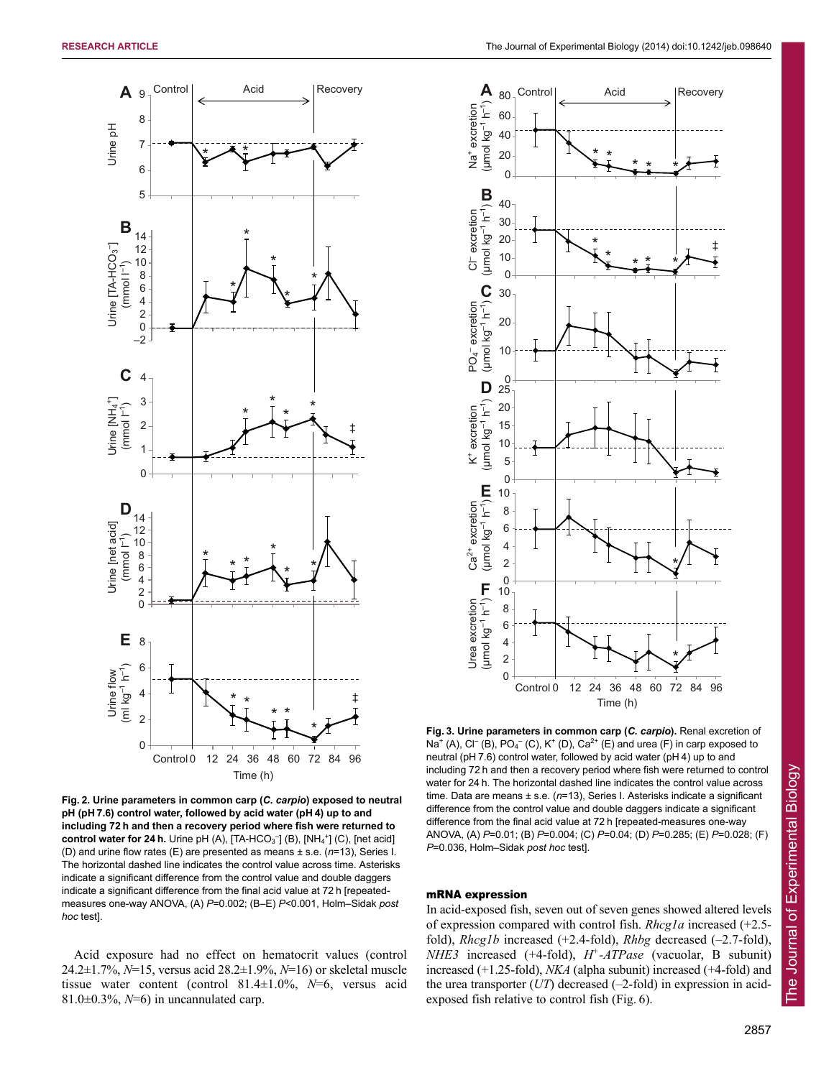

(umol kg<sup>-1</sup> h<sup>-1</sup>) **A** Control Acid Recovery 80 (µmol kg–1 h–1) Na<sup>+</sup> excretion Na<sup>+</sup> excretion 60 40 20  $*$  \* \* \* \*  $\Omega$ (µmol kg<sup>-1</sup> h<sup>-1</sup>)  $\bf{D}$  (µmol kg<sup>-1</sup> h<sup>-1</sup>)  $\bf{C}$  (µmol kg<sup>-1</sup> h<sup>-1</sup>)  $\bf{D}$ B 40  $(\mu$ mol kg<sup>-1</sup> h<sup>-1</sup>) (µmol kg–1 h–1)  $Cl^-$  excretion Cl– excretion 30 20  $*$  \* \* \* \* ‡ 10  $\Omega$  $($ umol kg<sup>-1</sup> h<sup>-1</sup>)  $\Omega$ 30 PO<sub>4</sub><sup>-</sup> excretion – excretion (µmol kg–1 h–1) 20 10 0 **D** 25  $(\mu$ mol kg<sup>-1</sup> h<sup>-1</sup>) 20 K<sup>+</sup> excretion K<sup>+</sup> excretion 15 10 5 0 (umol kg<sup>-1</sup> h<sup>-1</sup>) **IT** 10 Ca<sup>2+</sup> excretion (µmol kg–1 h–1)  $Ca<sup>2+</sup>$  excretion 8 6 4 2 \* 0 (umol kg<sup>-1</sup> h<sup>-1</sup>) T 10 Urea excretion Urea excretion (µmol kg–1 h–1) 8 6 4 \* 2  $\overline{0}$ -12 0 12 24 36 48 60 72 84 96 Control 0



Acid exposure had no effect on hematocrit values (control 24.2±1.7%, *N*=15, versus acid 28.2±1.9%, *N*=16) or skeletal muscle tissue water content (control 81.4±1.0%, *N*=6, versus acid 81.0±0.3%, *N*=6) in uncannulated carp.

*P*=0.036, Holm–Sidak *post hoc* test].

In acid-exposed fish, seven out of seven genes showed altered levels of expression compared with control fish. *Rhcg1a* increased (+2.5 fold), *Rhcg1b* increased (+2.4-fold), *Rhbg* decreased (–2.7-fold), *NHE3* increased (+4-fold), *H+-ATPase* (vacuolar, B subunit) increased (+1.25-fold), *NKA* (alpha subunit) increased (+4-fold) and the urea transporter (*UT*) decreased (–2-fold) in expression in acidexposed fish relative to control fish (Fig. 6).

Time (h)

**Fig. 3. Urine parameters in common carp (***C. carpio***).** Renal excretion of Na<sup>+</sup> (A), Cl<sup>-</sup> (B), PO<sub>4</sub><sup>-</sup> (C), K<sup>+</sup> (D), Ca<sup>2+</sup> (E) and urea (F) in carp exposed to neutral (pH 7.6) control water, followed by acid water (pH 4) up to and including 72 h and then a recovery period where fish were returned to control water for 24 h. The horizontal dashed line indicates the control value across time. Data are means ± s.e. (*n*=13), Series I. Asterisks indicate a significant difference from the control value and double daggers indicate a significant difference from the final acid value at 72 h [repeated-measures one-way ANOVA, (A) *P*=0.01; (B) *P*=0.004; (C) *P*=0.04; (D) *P*=0.285; (E) *P*=0.028; (F)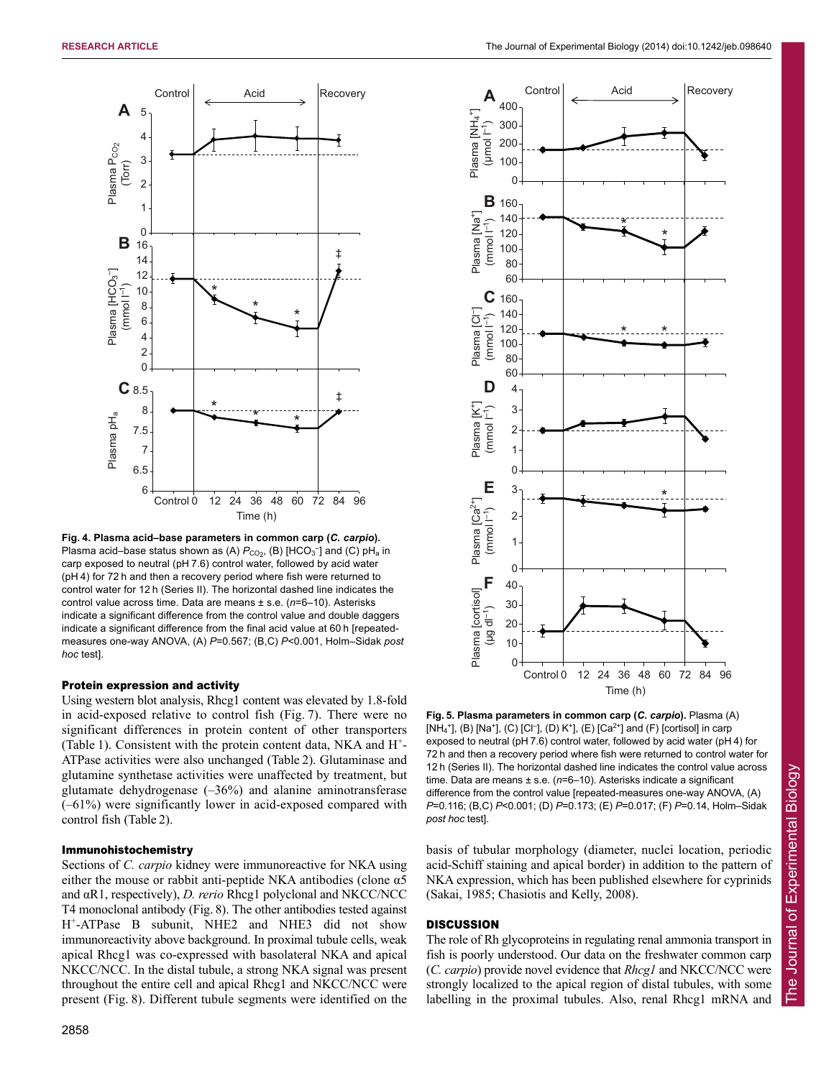

**Fig. 4. Plasma acid–base parameters in common carp (***C. carpio***).** Plasma acid–base status shown as (A)  $P_{CO_2}$ , (B) [HCO<sub>3</sub><sup>-</sup>] and (C) pH<sub>a</sub> in carp exposed to neutral (pH 7.6) control water, followed by acid water (pH 4) for 72 h and then a recovery period where fish were returned to control water for 12 h (Series II). The horizontal dashed line indicates the control value across time. Data are means ± s.e. (*n*=6–10). Asterisks indicate a significant difference from the control value and double daggers indicate a significant difference from the final acid value at 60 h [repeatedmeasures one-way ANOVA, (A) *P*=0.567; (B,C) *P*<0.001, Holm–Sidak *post hoc* test].

## Protein expression and activity

Using western blot analysis, Rhcg1 content was elevated by 1.8-fold in acid-exposed relative to control fish (Fig. 7). There were no significant differences in protein content of other transporters (Table 1). Consistent with the protein content data, NKA and  $H^+$ -ATPase activities were also unchanged (Table 2). Glutaminase and glutamine synthetase activities were unaffected by treatment, but glutamate dehydrogenase  $(-36%)$  and alanine aminotransferase (–61%) were significantly lower in acid-exposed compared with control fish (Table 2).

## Immunohistochemistry

Sections of *C. carpio* kidney were immunoreactive for NKA using either the mouse or rabbit anti-peptide NKA antibodies (clone  $\alpha$ 5 and αR1, respectively), *D. rerio* Rhcg1 polyclonal and NKCC/NCC T4 monoclonal antibody (Fig. 8). The other antibodies tested against H+-ATPase B subunit, NHE2 and NHE3 did not show immunoreactivity above background. In proximal tubule cells, weak apical Rhcg1 was co-expressed with basolateral NKA and apical NKCC/NCC. In the distal tubule, a strong NKA signal was present throughout the entire cell and apical Rhcg1 and NKCC/NCC were present (Fig. 8). Different tubule segments were identified on the



**Fig. 5. Plasma parameters in common carp (***C. carpio***).** Plasma (A) [NH<sub>4</sub><sup>+</sup>], (B) [Na<sup>+</sup>], (C) [Cl<sup>-</sup>], (D) K<sup>+</sup>], (E) [Ca<sup>2+</sup>] and (F) [cortisol] in carp exposed to neutral (pH 7.6) control water, followed by acid water (pH 4) for 72 h and then a recovery period where fish were returned to control water for 12 h (Series II). The horizontal dashed line indicates the control value across time. Data are means ± s.e. (*n*=6–10). Asterisks indicate a significant difference from the control value [repeated-measures one-way ANOVA, (A) *P*=0.116; (B,C) *P*<0.001; (D) *P*=0.173; (E) *P*=0.017; (F) *P*=0.14, Holm–Sidak *post hoc* test].

basis of tubular morphology (diameter, nuclei location, periodic acid-Schiff staining and apical border) in addition to the pattern of NKA expression, which has been published elsewhere for cyprinids (Sakai, 1985; Chasiotis and Kelly, 2008).

# **DISCUSSION**

The role of Rh glycoproteins in regulating renal ammonia transport in fish is poorly understood. Our data on the freshwater common carp (*C. carpio*) provide novel evidence that *Rhcg1* and NKCC/NCC were strongly localized to the apical region of distal tubules, with some labelling in the proximal tubules. Also, renal Rhcg1 mRNA and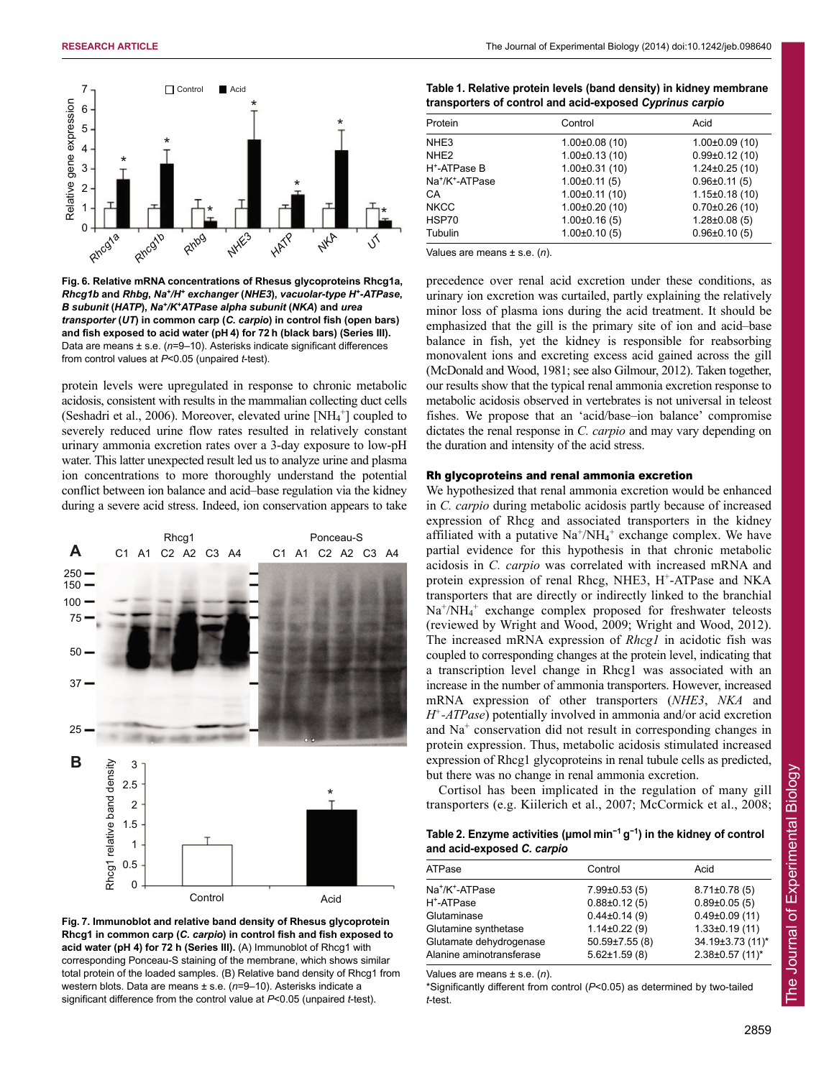

**Fig. 6. Relative mRNA concentrations of Rhesus glycoproteins Rhcg1a,** *Rhcg1b* **and** *Rhbg***,** *Na+/H+ exchanger* **(***NHE3***),** *vacuolar-type H+-ATPase***,** *B subunit* **(***HATP***),** *Na+/K+ATPase alpha subunit* **(***NKA***) and** *urea transporter* **(***UT***) in common carp (***C. carpio***) in control fish (open bars) and fish exposed to acid water (pH 4) for 72 h (black bars) (Series III).** Data are means ± s.e. (*n*=9–10). Asterisks indicate significant differences from control values at *P*<0.05 (unpaired *t*-test).

protein levels were upregulated in response to chronic metabolic acidosis, consistent with results in the mammalian collecting duct cells (Seshadri et al., 2006). Moreover, elevated urine [NH<sub>4</sub><sup>+</sup>] coupled to severely reduced urine flow rates resulted in relatively constant urinary ammonia excretion rates over a 3-day exposure to low-pH water. This latter unexpected result led us to analyze urine and plasma ion concentrations to more thoroughly understand the potential conflict between ion balance and acid–base regulation via the kidney during a severe acid stress. Indeed, ion conservation appears to take



**Fig. 7. Immunoblot and relative band density of Rhesus glycoprotein Rhcg1 in common carp (***C. carpio***) in control fish and fish exposed to acid water (pH 4) for 72 h (Series III).** (A) Immunoblot of Rhcg1 with corresponding Ponceau-S staining of the membrane, which shows similar total protein of the loaded samples. (B) Relative band density of Rhcg1 from western blots. Data are means ± s.e. (*n*=9–10). Asterisks indicate a significant difference from the control value at *P*<0.05 (unpaired *t*-test).

| Table 1. Relative protein levels (band density) in kidney membrane |
|--------------------------------------------------------------------|
| transporters of control and acid-exposed Cyprinus carpio           |

| Protein                                 | Control              | Acid                 |
|-----------------------------------------|----------------------|----------------------|
| NHE <sub>3</sub>                        | $1.00\pm0.08(10)$    | $1.00\pm0.09(10)$    |
| NHE <sub>2</sub>                        | $1.00 \pm 0.13(10)$  | $0.99\pm0.12(10)$    |
| H <sup>+</sup> -ATPase B                | $1.00 \pm 0.31$ (10) | $1.24 \pm 0.25$ (10) |
| Na <sup>+</sup> /K <sup>+</sup> -ATPase | $1.00 \pm 0.11(5)$   | $0.96 \pm 0.11(5)$   |
| CA                                      | $1.00\pm0.11(10)$    | $1.15 \pm 0.18$ (10) |
| <b>NKCC</b>                             | $1.00\pm0.20(10)$    | $0.70\pm0.26(10)$    |
| HSP70                                   | $1.00\pm0.16(5)$     | $1.28 \pm 0.08(5)$   |
| Tubulin                                 | $1.00\pm0.10(5)$     | $0.96 \pm 0.10(5)$   |
|                                         |                      |                      |

Values are means ± s.e. (*n*).

precedence over renal acid excretion under these conditions, as urinary ion excretion was curtailed, partly explaining the relatively minor loss of plasma ions during the acid treatment. It should be emphasized that the gill is the primary site of ion and acid–base balance in fish, yet the kidney is responsible for reabsorbing monovalent ions and excreting excess acid gained across the gill (McDonald and Wood, 1981; see also Gilmour, 2012). Taken together, our results show that the typical renal ammonia excretion response to metabolic acidosis observed in vertebrates is not universal in teleost fishes. We propose that an 'acid/base–ion balance' compromise dictates the renal response in *C. carpio* and may vary depending on the duration and intensity of the acid stress.

# Rh glycoproteins and renal ammonia excretion

We hypothesized that renal ammonia excretion would be enhanced in *C. carpio* during metabolic acidosis partly because of increased expression of Rhcg and associated transporters in the kidney affiliated with a putative  $Na^+/NH_4^+$  exchange complex. We have partial evidence for this hypothesis in that chronic metabolic acidosis in *C. carpio* was correlated with increased mRNA and protein expression of renal Rhcg, NHE3, H<sup>+</sup>-ATPase and NKA transporters that are directly or indirectly linked to the branchial Na<sup>+</sup>/NH<sub>4</sub><sup>+</sup> exchange complex proposed for freshwater teleosts (reviewed by Wright and Wood, 2009; Wright and Wood, 2012). The increased mRNA expression of *Rhcg1* in acidotic fish was coupled to corresponding changes at the protein level, indicating that a transcription level change in Rhcg1 was associated with an increase in the number of ammonia transporters. However, increased mRNA expression of other transporters (*NHE3*, *NKA* and *H+-ATPase*) potentially involved in ammonia and/or acid excretion and  $Na<sup>+</sup>$  conservation did not result in corresponding changes in protein expression. Thus, metabolic acidosis stimulated increased expression of Rhcg1 glycoproteins in renal tubule cells as predicted, but there was no change in renal ammonia excretion.

Cortisol has been implicated in the regulation of many gill transporters (e.g. Kiilerich et al., 2007; McCormick et al., 2008;

## **Table 2. Enzyme activities (μmol min<sup>−</sup><sup>1</sup> g<sup>−</sup><sup>1</sup> ) in the kidney of control and acid-exposed** *C. carpio*

| ATPase                                              | Control                                   | Acid                                    |
|-----------------------------------------------------|-------------------------------------------|-----------------------------------------|
| Na <sup>+</sup> /K <sup>+</sup> -ATPase             | $7.99\pm0.53(5)$                          | $8.71\pm0.78(5)$                        |
| H <sup>+</sup> -ATPase                              | $0.88 \pm 0.12(5)$                        | $0.89 \pm 0.05(5)$                      |
| Glutaminase                                         | $0.44 \pm 0.14(9)$                        | $0.49\pm0.09(11)$                       |
| Glutamine synthetase                                | $1.14\pm0.22(9)$                          | $1.33\pm0.19(11)$                       |
| Glutamate dehydrogenase<br>Alanine aminotransferase | $50.59 \pm 7.55(8)$<br>$5.62 \pm 1.59(8)$ | 34.19±3.73 (11)*<br>$2.38\pm0.57$ (11)* |
|                                                     |                                           |                                         |

Values are means ± s.e. (*n*).

\*Significantly different from control (*P*<0.05) as determined by two-tailed *t*-test.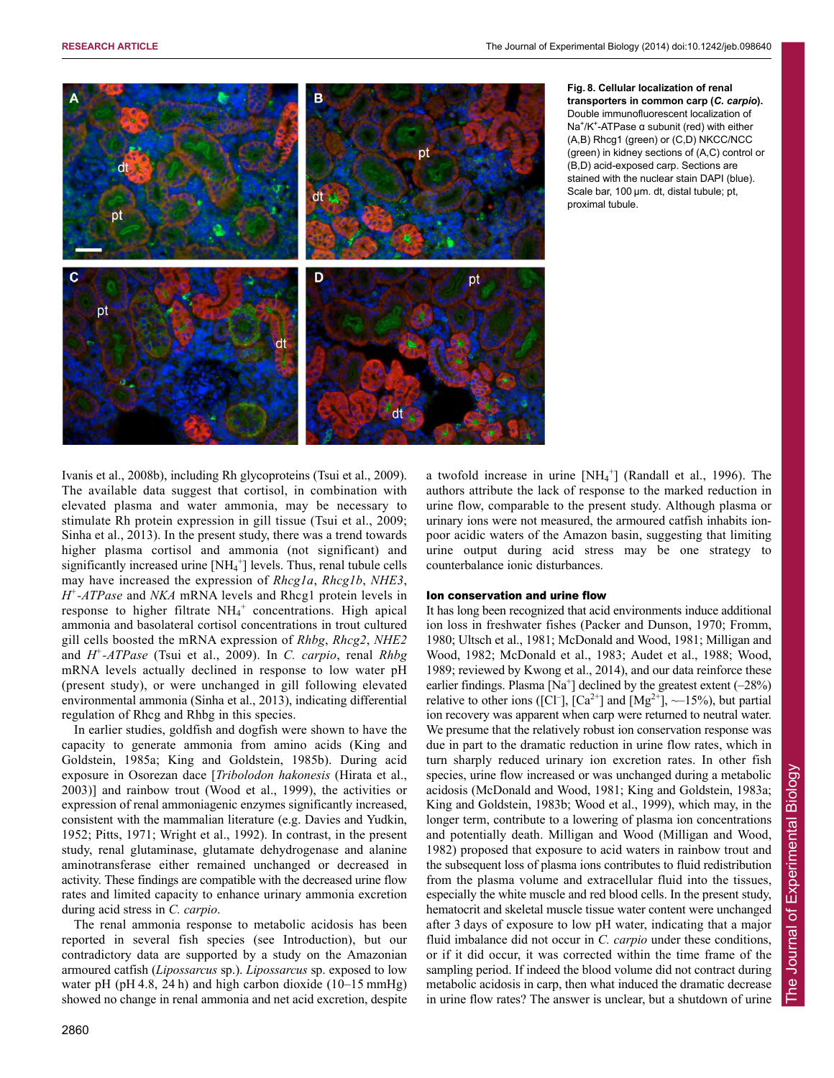

## **Fig. 8. Cellular localization of renal transporters in common carp (***C. carpio***).** Double immunofluorescent localization of Na+/K+-ATPase α subunit (red) with either (A,B) Rhcg1 (green) or (C,D) NKCC/NCC (green) in kidney sections of (A,C) control or (B,D) acid-exposed carp. Sections are stained with the nuclear stain DAPI (blue). Scale bar, 100 μm. dt, distal tubule; pt, proximal tubule.

Ivanis et al., 2008b), including Rh glycoproteins (Tsui et al., 2009). The available data suggest that cortisol, in combination with elevated plasma and water ammonia, may be necessary to stimulate Rh protein expression in gill tissue (Tsui et al., 2009; Sinha et al., 2013). In the present study, there was a trend towards higher plasma cortisol and ammonia (not significant) and significantly increased urine [NH<sub>4</sub><sup>+</sup>] levels. Thus, renal tubule cells may have increased the expression of *Rhcg1a*, *Rhcg1b*, *NHE3*, *H+-ATPase* and *NKA* mRNA levels and Rhcg1 protein levels in response to higher filtrate  $NH_4^+$  concentrations. High apical ammonia and basolateral cortisol concentrations in trout cultured gill cells boosted the mRNA expression of *Rhbg*, *Rhcg2*, *NHE2* and *H+-ATPase* (Tsui et al., 2009). In *C. carpio*, renal *Rhbg* mRNA levels actually declined in response to low water pH (present study), or were unchanged in gill following elevated environmental ammonia (Sinha et al., 2013), indicating differential regulation of Rhcg and Rhbg in this species.

In earlier studies, goldfish and dogfish were shown to have the capacity to generate ammonia from amino acids (King and Goldstein, 1985a; King and Goldstein, 1985b). During acid exposure in Osorezan dace [*Tribolodon hakonesis* (Hirata et al., 2003)] and rainbow trout (Wood et al., 1999), the activities or expression of renal ammoniagenic enzymes significantly increased, consistent with the mammalian literature (e.g. Davies and Yudkin, 1952; Pitts, 1971; Wright et al., 1992). In contrast, in the present study, renal glutaminase, glutamate dehydrogenase and alanine aminotransferase either remained unchanged or decreased in activity. These findings are compatible with the decreased urine flow rates and limited capacity to enhance urinary ammonia excretion during acid stress in *C. carpio*.

The renal ammonia response to metabolic acidosis has been reported in several fish species (see Introduction), but our contradictory data are supported by a study on the Amazonian armoured catfish (*Lipossarcus* sp.). *Lipossarcus* sp. exposed to low water pH (pH 4.8, 24 h) and high carbon dioxide (10–15 mmHg) showed no change in renal ammonia and net acid excretion, despite

a twofold increase in urine [NH<sub>4</sub><sup>+</sup>] (Randall et al., 1996). The authors attribute the lack of response to the marked reduction in urine flow, comparable to the present study. Although plasma or urinary ions were not measured, the armoured catfish inhabits ionpoor acidic waters of the Amazon basin, suggesting that limiting urine output during acid stress may be one strategy to counterbalance ionic disturbances.

## Ion conservation and urine flow

It has long been recognized that acid environments induce additional ion loss in freshwater fishes (Packer and Dunson, 1970; Fromm, 1980; Ultsch et al., 1981; McDonald and Wood, 1981; Milligan and Wood, 1982; McDonald et al., 1983; Audet et al., 1988; Wood, 1989; reviewed by Kwong et al., 2014), and our data reinforce these earlier findings. Plasma  $[Na^+]$  declined by the greatest extent  $(-28%)$ relative to other ions ([Cl<sup>-</sup>], [Ca<sup>2+</sup>] and [Mg<sup>2+</sup>], ~15%), but partial ion recovery was apparent when carp were returned to neutral water. We presume that the relatively robust ion conservation response was due in part to the dramatic reduction in urine flow rates, which in turn sharply reduced urinary ion excretion rates. In other fish species, urine flow increased or was unchanged during a metabolic acidosis (McDonald and Wood, 1981; King and Goldstein, 1983a; King and Goldstein, 1983b; Wood et al., 1999), which may, in the longer term, contribute to a lowering of plasma ion concentrations and potentially death. Milligan and Wood (Milligan and Wood, 1982) proposed that exposure to acid waters in rainbow trout and the subsequent loss of plasma ions contributes to fluid redistribution from the plasma volume and extracellular fluid into the tissues, especially the white muscle and red blood cells. In the present study, hematocrit and skeletal muscle tissue water content were unchanged after 3 days of exposure to low pH water, indicating that a major fluid imbalance did not occur in *C. carpio* under these conditions, or if it did occur, it was corrected within the time frame of the sampling period. If indeed the blood volume did not contract during metabolic acidosis in carp, then what induced the dramatic decrease in urine flow rates? The answer is unclear, but a shutdown of urine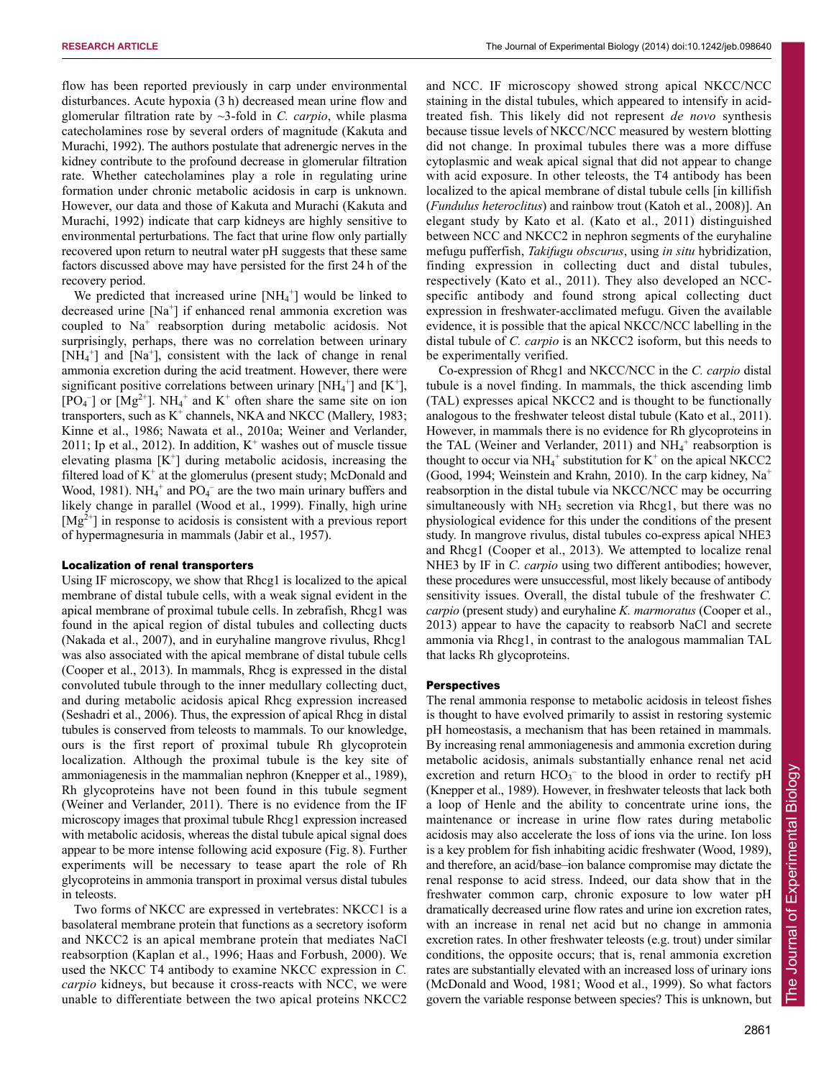flow has been reported previously in carp under environmental disturbances. Acute hypoxia (3 h) decreased mean urine flow and glomerular filtration rate by ~3-fold in *C. carpio*, while plasma catecholamines rose by several orders of magnitude (Kakuta and Murachi, 1992). The authors postulate that adrenergic nerves in the kidney contribute to the profound decrease in glomerular filtration rate. Whether catecholamines play a role in regulating urine formation under chronic metabolic acidosis in carp is unknown. However, our data and those of Kakuta and Murachi (Kakuta and Murachi, 1992) indicate that carp kidneys are highly sensitive to environmental perturbations. The fact that urine flow only partially recovered upon return to neutral water pH suggests that these same factors discussed above may have persisted for the first 24 h of the recovery period.

We predicted that increased urine  $[NH<sub>4</sub><sup>+</sup>]$  would be linked to decreased urine [Na+] if enhanced renal ammonia excretion was coupled to Na<sup>+</sup> reabsorption during metabolic acidosis. Not surprisingly, perhaps, there was no correlation between urinary [NH<sub>4</sub><sup>+</sup>] and [Na<sup>+</sup>], consistent with the lack of change in renal ammonia excretion during the acid treatment. However, there were significant positive correlations between urinary [NH<sub>4</sub><sup>+</sup>] and [K<sup>+</sup>],  $[PO<sub>4</sub>^-]$  or  $[Mg<sup>2+</sup>]$ . NH<sub>4</sub><sup>+</sup> and K<sup>+</sup> often share the same site on ion transporters, such as  $K^+$  channels, NKA and NKCC (Mallery, 1983; Kinne et al., 1986; Nawata et al., 2010a; Weiner and Verlander, 2011; Ip et al., 2012). In addition,  $K^+$  washes out of muscle tissue elevating plasma  $[K^+]$  during metabolic acidosis, increasing the filtered load of  $K^+$  at the glomerulus (present study; McDonald and Wood, 1981). NH<sub>4</sub><sup>+</sup> and PO<sub>4</sub><sup>-</sup> are the two main urinary buffers and likely change in parallel (Wood et al., 1999). Finally, high urine  $[Mg^{2+}]$  in response to acidosis is consistent with a previous report of hypermagnesuria in mammals (Jabir et al., 1957).

## Localization of renal transporters

Using IF microscopy, we show that Rhcg1 is localized to the apical membrane of distal tubule cells, with a weak signal evident in the apical membrane of proximal tubule cells. In zebrafish, Rhcg1 was found in the apical region of distal tubules and collecting ducts (Nakada et al., 2007), and in euryhaline mangrove rivulus, Rhcg1 was also associated with the apical membrane of distal tubule cells (Cooper et al., 2013). In mammals, Rhcg is expressed in the distal convoluted tubule through to the inner medullary collecting duct, and during metabolic acidosis apical Rhcg expression increased (Seshadri et al., 2006). Thus, the expression of apical Rhcg in distal tubules is conserved from teleosts to mammals. To our knowledge, ours is the first report of proximal tubule Rh glycoprotein localization. Although the proximal tubule is the key site of ammoniagenesis in the mammalian nephron (Knepper et al., 1989), Rh glycoproteins have not been found in this tubule segment (Weiner and Verlander, 2011). There is no evidence from the IF microscopy images that proximal tubule Rhcg1 expression increased with metabolic acidosis, whereas the distal tubule apical signal does appear to be more intense following acid exposure (Fig. 8). Further experiments will be necessary to tease apart the role of Rh glycoproteins in ammonia transport in proximal versus distal tubules in teleosts.

Two forms of NKCC are expressed in vertebrates: NKCC1 is a basolateral membrane protein that functions as a secretory isoform and NKCC2 is an apical membrane protein that mediates NaCl reabsorption (Kaplan et al., 1996; Haas and Forbush, 2000). We used the NKCC T4 antibody to examine NKCC expression in *C. carpio* kidneys, but because it cross-reacts with NCC, we were unable to differentiate between the two apical proteins NKCC2 and NCC. IF microscopy showed strong apical NKCC/NCC staining in the distal tubules, which appeared to intensify in acidtreated fish. This likely did not represent *de novo* synthesis because tissue levels of NKCC/NCC measured by western blotting did not change. In proximal tubules there was a more diffuse cytoplasmic and weak apical signal that did not appear to change with acid exposure. In other teleosts, the T4 antibody has been localized to the apical membrane of distal tubule cells [in killifish (*Fundulus heteroclitus*) and rainbow trout (Katoh et al., 2008)]. An elegant study by Kato et al. (Kato et al., 2011) distinguished between NCC and NKCC2 in nephron segments of the euryhaline mefugu pufferfish, *Takifugu obscurus*, using *in situ* hybridization, finding expression in collecting duct and distal tubules, respectively (Kato et al., 2011). They also developed an NCCspecific antibody and found strong apical collecting duct expression in freshwater-acclimated mefugu. Given the available evidence, it is possible that the apical NKCC/NCC labelling in the distal tubule of *C. carpio* is an NKCC2 isoform, but this needs to be experimentally verified.

Co-expression of Rhcg1 and NKCC/NCC in the *C. carpio* distal tubule is a novel finding. In mammals, the thick ascending limb (TAL) expresses apical NKCC2 and is thought to be functionally analogous to the freshwater teleost distal tubule (Kato et al., 2011). However, in mammals there is no evidence for Rh glycoproteins in the TAL (Weiner and Verlander, 2011) and  $NH_4^+$  reabsorption is thought to occur via  $NH_4^+$  substitution for  $K^+$  on the apical NKCC2 (Good, 1994; Weinstein and Krahn, 2010). In the carp kidney,  $Na<sup>+</sup>$ reabsorption in the distal tubule via NKCC/NCC may be occurring simultaneously with NH<sub>3</sub> secretion via Rhcg1, but there was no physiological evidence for this under the conditions of the present study. In mangrove rivulus, distal tubules co-express apical NHE3 and Rhcg1 (Cooper et al., 2013). We attempted to localize renal NHE3 by IF in *C. carpio* using two different antibodies; however, these procedures were unsuccessful, most likely because of antibody sensitivity issues. Overall, the distal tubule of the freshwater *C. carpio* (present study) and euryhaline *K. marmoratus* (Cooper et al., 2013) appear to have the capacity to reabsorb NaCl and secrete ammonia via Rhcg1, in contrast to the analogous mammalian TAL that lacks Rh glycoproteins.

## **Perspectives**

The renal ammonia response to metabolic acidosis in teleost fishes is thought to have evolved primarily to assist in restoring systemic pH homeostasis, a mechanism that has been retained in mammals. By increasing renal ammoniagenesis and ammonia excretion during metabolic acidosis, animals substantially enhance renal net acid excretion and return  $HCO<sub>3</sub><sup>-</sup>$  to the blood in order to rectify pH (Knepper et al., 1989). However, in freshwater teleosts that lack both a loop of Henle and the ability to concentrate urine ions, the maintenance or increase in urine flow rates during metabolic acidosis may also accelerate the loss of ions via the urine. Ion loss is a key problem for fish inhabiting acidic freshwater (Wood, 1989), and therefore, an acid/base–ion balance compromise may dictate the renal response to acid stress. Indeed, our data show that in the freshwater common carp, chronic exposure to low water pH dramatically decreased urine flow rates and urine ion excretion rates, with an increase in renal net acid but no change in ammonia excretion rates. In other freshwater teleosts (e.g. trout) under similar conditions, the opposite occurs; that is, renal ammonia excretion rates are substantially elevated with an increased loss of urinary ions (McDonald and Wood, 1981; Wood et al., 1999). So what factors govern the variable response between species? This is unknown, but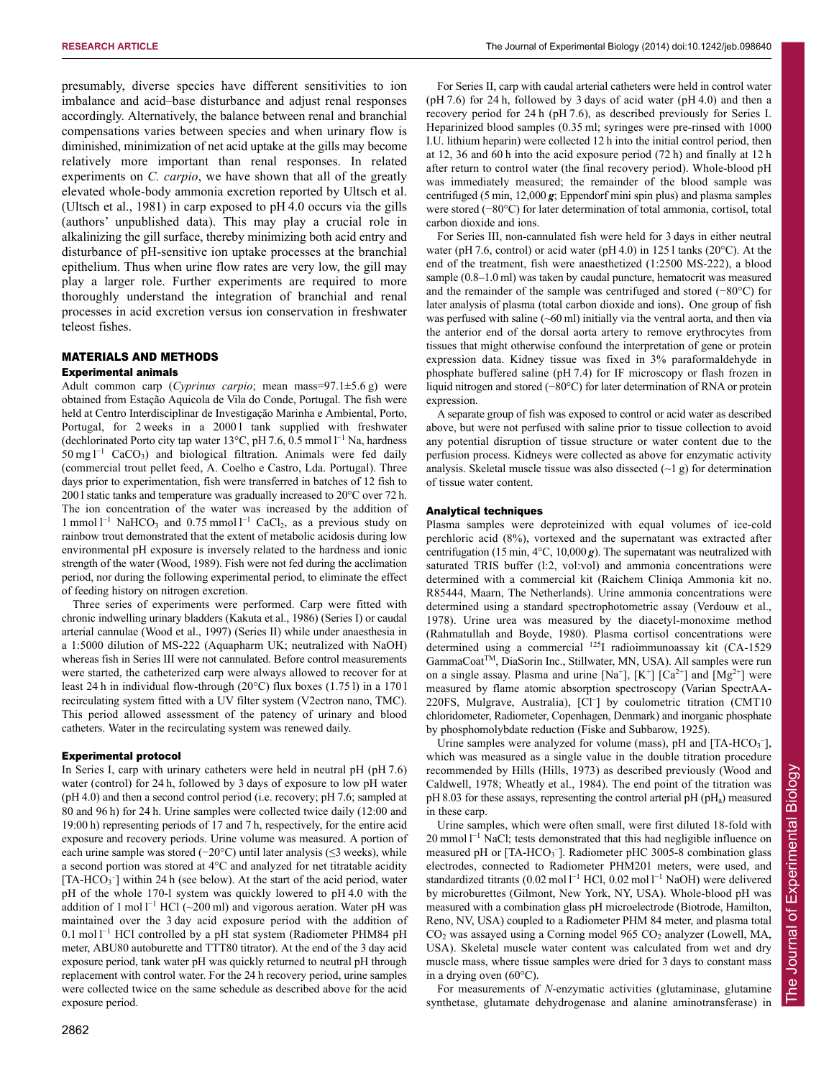presumably, diverse species have different sensitivities to ion imbalance and acid–base disturbance and adjust renal responses accordingly. Alternatively, the balance between renal and branchial compensations varies between species and when urinary flow is diminished, minimization of net acid uptake at the gills may become relatively more important than renal responses. In related experiments on *C. carpio*, we have shown that all of the greatly elevated whole-body ammonia excretion reported by Ultsch et al. (Ultsch et al., 1981) in carp exposed to pH 4.0 occurs via the gills (authors' unpublished data). This may play a crucial role in alkalinizing the gill surface, thereby minimizing both acid entry and disturbance of pH-sensitive ion uptake processes at the branchial epithelium. Thus when urine flow rates are very low, the gill may play a larger role. Further experiments are required to more thoroughly understand the integration of branchial and renal processes in acid excretion versus ion conservation in freshwater teleost fishes.

## MATERIALS AND METHODS Experimental animals

Adult common carp (*Cyprinus carpio*; mean mass=97.1±5.6 g) were obtained from Estação Aquicola de Vila do Conde, Portugal. The fish were held at Centro Interdisciplinar de Investigação Marinha e Ambiental, Porto, Portugal, for 2 weeks in a 20001 tank supplied with freshwater (dechlorinated Porto city tap water 13 $^{\circ}$ C, pH 7.6, 0.5 mmol l<sup>-1</sup> Na, hardness  $50 \text{ mg l}^{-1}$  CaCO<sub>3</sub>) and biological filtration. Animals were fed daily (commercial trout pellet feed, A. Coelho e Castro, Lda. Portugal). Three days prior to experimentation, fish were transferred in batches of 12 fish to 200 l static tanks and temperature was gradually increased to 20°C over 72 h. The ion concentration of the water was increased by the addition of 1 mmol  $I^{-1}$  NaHCO<sub>3</sub> and 0.75 mmol  $I^{-1}$  CaCl<sub>2</sub>, as a previous study on rainbow trout demonstrated that the extent of metabolic acidosis during low environmental pH exposure is inversely related to the hardness and ionic strength of the water (Wood, 1989). Fish were not fed during the acclimation period, nor during the following experimental period, to eliminate the effect of feeding history on nitrogen excretion.

Three series of experiments were performed. Carp were fitted with chronic indwelling urinary bladders (Kakuta et al., 1986) (Series I) or caudal arterial cannulae (Wood et al., 1997) (Series II) while under anaesthesia in a 1:5000 dilution of MS-222 (Aquapharm UK; neutralized with NaOH) whereas fish in Series III were not cannulated. Before control measurements were started, the catheterized carp were always allowed to recover for at least 24 h in individual flow-through (20°C) flux boxes (1.75 l) in a 170 l recirculating system fitted with a UV filter system (V2ectron nano, TMC). This period allowed assessment of the patency of urinary and blood catheters. Water in the recirculating system was renewed daily.

## Experimental protocol

In Series I, carp with urinary catheters were held in neutral pH (pH 7.6) water (control) for 24 h, followed by 3 days of exposure to low pH water (pH 4.0) and then a second control period (i.e. recovery; pH 7.6; sampled at 80 and 96 h) for 24 h. Urine samples were collected twice daily (12:00 and 19:00 h) representing periods of 17 and 7 h, respectively, for the entire acid exposure and recovery periods. Urine volume was measured. A portion of each urine sample was stored (−20°C) until later analysis (≤3 weeks), while a second portion was stored at 4°C and analyzed for net titratable acidity [TA-HCO<sub>3</sub><sup>-</sup>] within 24 h (see below). At the start of the acid period, water pH of the whole 170-l system was quickly lowered to pH 4.0 with the addition of 1 mol  $l^{-1}$  HCl (~200 ml) and vigorous aeration. Water pH was maintained over the 3 day acid exposure period with the addition of 0.1 mol l<sup>-1</sup> HCl controlled by a pH stat system (Radiometer PHM84 pH meter, ABU80 autoburette and TTT80 titrator). At the end of the 3 day acid exposure period, tank water pH was quickly returned to neutral pH through replacement with control water. For the 24 h recovery period, urine samples were collected twice on the same schedule as described above for the acid exposure period.

For Series II, carp with caudal arterial catheters were held in control water  $(pH 7.6)$  for 24 h, followed by 3 days of acid water  $(pH 4.0)$  and then a recovery period for 24 h (pH 7.6), as described previously for Series I. Heparinized blood samples (0.35 ml; syringes were pre-rinsed with 1000 I.U. lithium heparin) were collected 12 h into the initial control period, then at 12, 36 and 60 h into the acid exposure period (72 h) and finally at 12 h after return to control water (the final recovery period). Whole-blood pH was immediately measured; the remainder of the blood sample was centrifuged (5 min, 12,000 *g*; Eppendorf mini spin plus) and plasma samples were stored (−80°C) for later determination of total ammonia, cortisol, total carbon dioxide and ions.

For Series III, non-cannulated fish were held for 3 days in either neutral water (pH 7.6, control) or acid water (pH 4.0) in 125 l tanks (20°C). At the end of the treatment, fish were anaesthetized (1:2500 MS-222), a blood sample (0.8–1.0 ml) was taken by caudal puncture, hematocrit was measured and the remainder of the sample was centrifuged and stored (−80°C) for later analysis of plasma (total carbon dioxide and ions). One group of fish was perfused with saline (~60 ml) initially via the ventral aorta, and then via the anterior end of the dorsal aorta artery to remove erythrocytes from tissues that might otherwise confound the interpretation of gene or protein expression data. Kidney tissue was fixed in 3% paraformaldehyde in phosphate buffered saline (pH 7.4) for IF microscopy or flash frozen in liquid nitrogen and stored (−80°C) for later determination of RNA or protein expression.

A separate group of fish was exposed to control or acid water as described above, but were not perfused with saline prior to tissue collection to avoid any potential disruption of tissue structure or water content due to the perfusion process. Kidneys were collected as above for enzymatic activity analysis. Skeletal muscle tissue was also dissected  $(\sim 1 \text{ g})$  for determination of tissue water content.

#### Analytical techniques

Plasma samples were deproteinized with equal volumes of ice-cold perchloric acid (8%), vortexed and the supernatant was extracted after centrifugation (15 min, 4°C, 10,000 *g*). The supernatant was neutralized with saturated TRIS buffer (l:2, vol:vol) and ammonia concentrations were determined with a commercial kit (Raichem Cliniqa Ammonia kit no. R85444, Maarn, The Netherlands). Urine ammonia concentrations were determined using a standard spectrophotometric assay (Verdouw et al., 1978). Urine urea was measured by the diacetyl-monoxime method (Rahmatullah and Boyde, 1980). Plasma cortisol concentrations were determined using a commercial 125I radioimmunoassay kit (CA-1529 GammaCoatTM, DiaSorin Inc., Stillwater, MN, USA). All samples were run on a single assay. Plasma and urine  $[Na^+]$ ,  $[K^+]$   $[Ca^{2+}]$  and  $[Mg^{2+}]$  were measured by flame atomic absorption spectroscopy (Varian SpectrAA-220FS, Mulgrave, Australia), [Cl– ] by coulometric titration (CMT10 chloridometer, Radiometer, Copenhagen, Denmark) and inorganic phosphate by phosphomolybdate reduction (Fiske and Subbarow, 1925).

Urine samples were analyzed for volume (mass), pH and  $[TA-HCO<sub>3</sub><sup>-</sup>]$ , which was measured as a single value in the double titration procedure recommended by Hills (Hills, 1973) as described previously (Wood and Caldwell, 1978; Wheatly et al., 1984). The end point of the titration was  $pH 8.03$  for these assays, representing the control arterial  $pH (pH<sub>a</sub>)$  measured in these carp.

Urine samples, which were often small, were first diluted 18-fold with 20 mmol l<sup>-1</sup> NaCl; tests demonstrated that this had negligible influence on measured pH or [TA-HCO<sub>3</sub><sup>-</sup>]. Radiometer pHC 3005-8 combination glass electrodes, connected to Radiometer PHM201 meters, were used, and standardized titrants  $(0.02 \text{ mol} \, \text{l}^{-1} \, \text{HCl}, 0.02 \text{ mol} \, \text{l}^{-1} \, \text{NaOH})$  were delivered by microburettes (Gilmont, New York, NY, USA). Whole-blood pH was measured with a combination glass pH microelectrode (Biotrode, Hamilton, Reno, NV, USA) coupled to a Radiometer PHM 84 meter, and plasma total CO<sub>2</sub> was assayed using a Corning model 965 CO<sub>2</sub> analyzer (Lowell, MA, USA). Skeletal muscle water content was calculated from wet and dry muscle mass, where tissue samples were dried for 3 days to constant mass in a drying oven (60°C).

For measurements of *N*-enzymatic activities (glutaminase, glutamine synthetase, glutamate dehydrogenase and alanine aminotransferase) in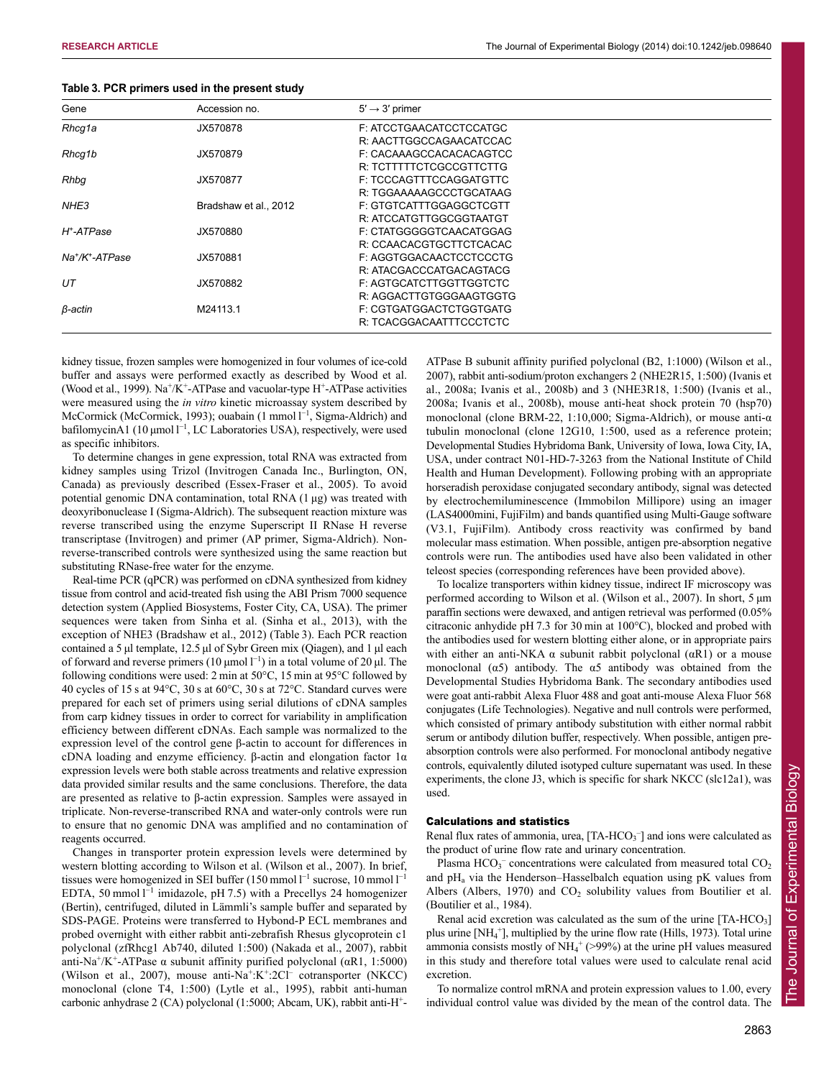| Gene                               | Accession no.         | $5' \rightarrow 3'$ primer |  |
|------------------------------------|-----------------------|----------------------------|--|
| Rhcq1a                             | JX570878              | F: ATCCTGAACATCCTCCATGC    |  |
|                                    |                       | R: AACTTGGCCAGAACATCCAC    |  |
| Rhcq1b                             | JX570879              | F: CACAAAGCCACACACAGTCC    |  |
|                                    |                       | R: TCTTTTTCTCGCCGTTCTTG    |  |
| Rhbq                               | JX570877              | F: TCCCAGTTTCCAGGATGTTC    |  |
|                                    |                       | R: TGGAAAAAGCCCTGCATAAG    |  |
| NHE <sub>3</sub>                   | Bradshaw et al., 2012 | F: GTGTCATTTGGAGGCTCGTT    |  |
|                                    |                       | R: ATCCATGTTGGCGGTAATGT    |  |
| H <sup>+</sup> -ATPase             | JX570880              | F: CTATGGGGGTCAACATGGAG    |  |
|                                    |                       | R: CCAACACGTGCTTCTCACAC    |  |
| $Na^{\dagger}/K^{\dagger}$ -ATPase | JX570881              | F: AGGTGGACAACTCCTCCCTG    |  |
|                                    |                       | R: ATACGACCCATGACAGTACG    |  |
| UT                                 | JX570882              | F: AGTGCATCTTGGTTGGTCTC    |  |
|                                    |                       | R: AGGACTTGTGGGAAGTGGTG    |  |
| β-actin                            | M24113.1              | F: CGTGATGGACTCTGGTGATG    |  |
|                                    |                       | R: TCACGGACAATTTCCCTCTC    |  |

| Table 3. PCR primers used in the present study |  |  |  |  |  |  |
|------------------------------------------------|--|--|--|--|--|--|
|------------------------------------------------|--|--|--|--|--|--|

kidney tissue, frozen samples were homogenized in four volumes of ice-cold buffer and assays were performed exactly as described by Wood et al. (Wood et al., 1999).  $Na^+/K^+$ -ATPase and vacuolar-type H<sup>+</sup>-ATPase activities were measured using the *in vitro* kinetic microassay system described by McCormick (McCormick, 1993); ouabain (1 mmol l<sup>-1</sup>, Sigma-Aldrich) and bafilomycinA1 (10  $\mu$ mol l<sup>-1</sup>, LC Laboratories USA), respectively, were used as specific inhibitors.

To determine changes in gene expression, total RNA was extracted from kidney samples using Trizol (Invitrogen Canada Inc., Burlington, ON, Canada) as previously described (Essex-Fraser et al., 2005). To avoid potential genomic DNA contamination, total RNA (1 μg) was treated with deoxyribonuclease I (Sigma-Aldrich). The subsequent reaction mixture was reverse transcribed using the enzyme Superscript II RNase H reverse transcriptase (Invitrogen) and primer (AP primer, Sigma-Aldrich). Nonreverse-transcribed controls were synthesized using the same reaction but substituting RNase-free water for the enzyme.

Real-time PCR (qPCR) was performed on cDNA synthesized from kidney tissue from control and acid-treated fish using the ABI Prism 7000 sequence detection system (Applied Biosystems, Foster City, CA, USA). The primer sequences were taken from Sinha et al. (Sinha et al., 2013), with the exception of NHE3 (Bradshaw et al., 2012) (Table 3). Each PCR reaction contained a 5 μl template, 12.5 μl of Sybr Green mix (Qiagen), and 1 μl each of forward and reverse primers ( $10 \mu$ mol l<sup>-1</sup>) in a total volume of  $20 \mu$ l. The following conditions were used: 2 min at 50°C, 15 min at 95°C followed by 40 cycles of 15 s at 94°C, 30 s at 60°C, 30 s at 72°C. Standard curves were prepared for each set of primers using serial dilutions of cDNA samples from carp kidney tissues in order to correct for variability in amplification efficiency between different cDNAs. Each sample was normalized to the expression level of the control gene β-actin to account for differences in cDNA loading and enzyme efficiency. β-actin and elongation factor 1α expression levels were both stable across treatments and relative expression data provided similar results and the same conclusions. Therefore, the data are presented as relative to β-actin expression. Samples were assayed in triplicate. Non-reverse-transcribed RNA and water-only controls were run to ensure that no genomic DNA was amplified and no contamination of reagents occurred.

Changes in transporter protein expression levels were determined by western blotting according to Wilson et al. (Wilson et al., 2007). In brief, tissues were homogenized in SEI buffer  $(150 \text{ mmol } l^{-1}$  sucrose,  $10 \text{ mmol } l^{-1}$ EDTA, 50 mmol  $l^{-1}$  imidazole, pH 7.5) with a Precellys 24 homogenizer (Bertin), centrifuged, diluted in Lämmli's sample buffer and separated by SDS-PAGE. Proteins were transferred to Hybond-P ECL membranes and probed overnight with either rabbit anti-zebrafish Rhesus glycoprotein c1 polyclonal (zfRhcg1 Ab740, diluted 1:500) (Nakada et al., 2007), rabbit anti-Na<sup>+</sup>/K<sup>+</sup>-ATPase α subunit affinity purified polyclonal (αR1, 1:5000) (Wilson et al., 2007), mouse anti-Na<sup>+</sup>:K<sup>+</sup>:2Cl<sup>-</sup> cotransporter (NKCC) monoclonal (clone T4, 1:500) (Lytle et al., 1995), rabbit anti-human carbonic anhydrase 2 (CA) polyclonal (1:5000; Abcam, UK), rabbit anti-H<sup>+</sup>-

ATPase B subunit affinity purified polyclonal (B2, 1:1000) (Wilson et al., 2007), rabbit anti-sodium/proton exchangers 2 (NHE2R15, 1:500) (Ivanis et al., 2008a; Ivanis et al., 2008b) and 3 (NHE3R18, 1:500) (Ivanis et al., 2008a; Ivanis et al., 2008b), mouse anti-heat shock protein 70 (hsp70) monoclonal (clone BRM-22, 1:10,000; Sigma-Aldrich), or mouse anti-α tubulin monoclonal (clone 12G10, 1:500, used as a reference protein; Developmental Studies Hybridoma Bank, University of Iowa, Iowa City, IA, USA, under contract N01-HD-7-3263 from the National Institute of Child Health and Human Development). Following probing with an appropriate horseradish peroxidase conjugated secondary antibody, signal was detected by electrochemiluminescence (Immobilon Millipore) using an imager (LAS4000mini, FujiFilm) and bands quantified using Multi-Gauge software (V3.1, FujiFilm). Antibody cross reactivity was confirmed by band molecular mass estimation. When possible, antigen pre-absorption negative controls were run. The antibodies used have also been validated in other teleost species (corresponding references have been provided above).

To localize transporters within kidney tissue, indirect IF microscopy was performed according to Wilson et al. (Wilson et al., 2007). In short, 5 μm paraffin sections were dewaxed, and antigen retrieval was performed (0.05% citraconic anhydide pH 7.3 for 30 min at 100°C), blocked and probed with the antibodies used for western blotting either alone, or in appropriate pairs with either an anti-NKA  $\alpha$  subunit rabbit polyclonal ( $\alpha$ R1) or a mouse monoclonal  $(\alpha 5)$  antibody. The  $\alpha 5$  antibody was obtained from the Developmental Studies Hybridoma Bank. The secondary antibodies used were goat anti-rabbit Alexa Fluor 488 and goat anti-mouse Alexa Fluor 568 conjugates (Life Technologies). Negative and null controls were performed, which consisted of primary antibody substitution with either normal rabbit serum or antibody dilution buffer, respectively. When possible, antigen preabsorption controls were also performed. For monoclonal antibody negative controls, equivalently diluted isotyped culture supernatant was used. In these experiments, the clone J3, which is specific for shark NKCC (slc12a1), was used.

## Calculations and statistics

Renal flux rates of ammonia, urea, [TA-HCO<sub>3</sub><sup>-</sup>] and ions were calculated as the product of urine flow rate and urinary concentration.

Plasma  $HCO_3^-$  concentrations were calculated from measured total  $CO_2$ and pH<sub>a</sub> via the Henderson–Hasselbalch equation using pK values from Albers (Albers, 1970) and  $CO<sub>2</sub>$  solubility values from Boutilier et al. (Boutilier et al., 1984).

Renal acid excretion was calculated as the sum of the urine  $[TA-HCO<sub>3</sub>]$ plus urine [NH<sub>4</sub><sup>+</sup>], multiplied by the urine flow rate (Hills, 1973). Total urine ammonia consists mostly of  $NH_4^+$  (>99%) at the urine pH values measured in this study and therefore total values were used to calculate renal acid excretion.

To normalize control mRNA and protein expression values to 1.00, every individual control value was divided by the mean of the control data. The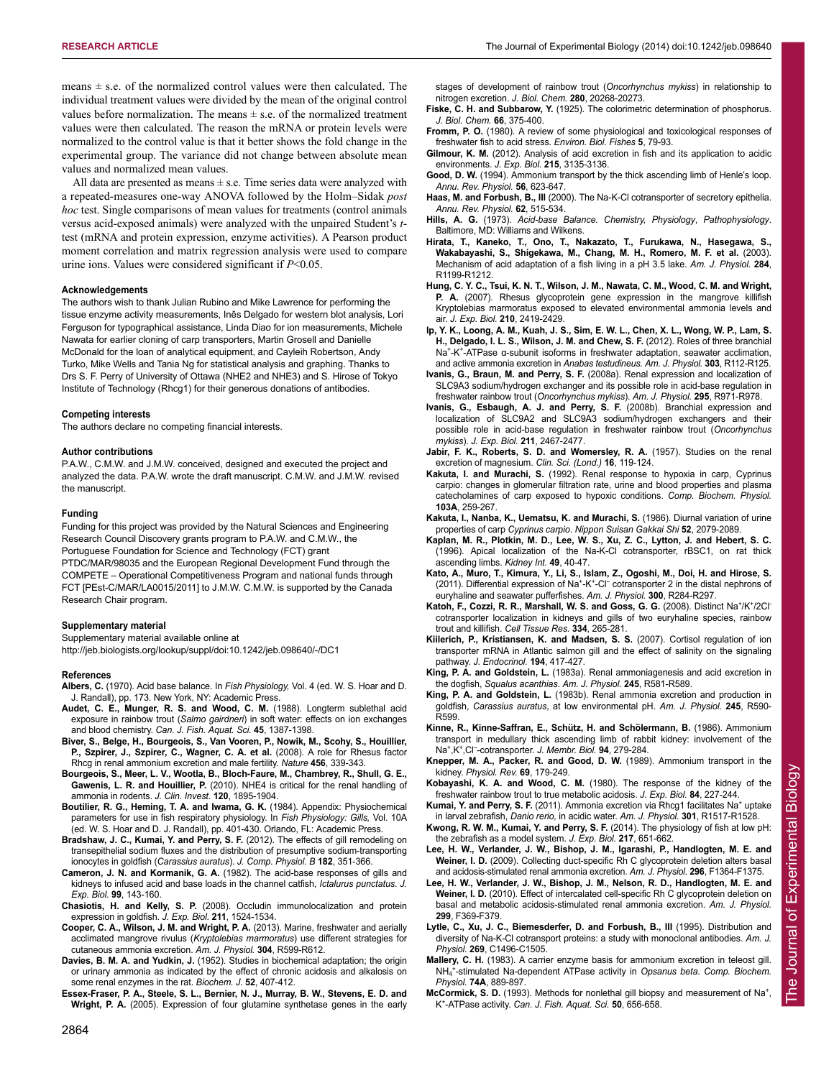means  $\pm$  s.e. of the normalized control values were then calculated. The individual treatment values were divided by the mean of the original control values before normalization. The means  $\pm$  s.e. of the normalized treatment values were then calculated. The reason the mRNA or protein levels were normalized to the control value is that it better shows the fold change in the experimental group. The variance did not change between absolute mean values and normalized mean values.

All data are presented as means  $\pm$  s.e. Time series data were analyzed with a repeated-measures one-way ANOVA followed by the Holm–Sidak *post hoc* test. Single comparisons of mean values for treatments (control animals versus acid-exposed animals) were analyzed with the unpaired Student's *t*test (mRNA and protein expression, enzyme activities). A Pearson product moment correlation and matrix regression analysis were used to compare urine ions. Values were considered significant if *P*<0.05.

#### **Acknowledgements**

The authors wish to thank Julian Rubino and Mike Lawrence for performing the tissue enzyme activity measurements, Inês Delgado for western blot analysis, Lori Ferguson for typographical assistance, Linda Diao for ion measurements, Michele Nawata for earlier cloning of carp transporters, Martin Grosell and Danielle McDonald for the loan of analytical equipment, and Cayleih Robertson, Andy Turko, Mike Wells and Tania Ng for statistical analysis and graphing. Thanks to Drs S. F. Perry of University of Ottawa (NHE2 and NHE3) and S. Hirose of Tokyo Institute of Technology (Rhcg1) for their generous donations of antibodies.

#### **Competing interests**

The authors declare no competing financial interests.

#### **Author contributions**

P.A.W., C.M.W. and J.M.W. conceived, designed and executed the project and analyzed the data. P.A.W. wrote the draft manuscript. C.M.W. and J.M.W. revised the manuscript.

#### **Funding**

Funding for this project was provided by the Natural Sciences and Engineering Research Council Discovery grants program to P.A.W. and C.M.W., the Portuguese Foundation for Science and Technology (FCT) grant PTDC/MAR/98035 and the European Regional Development Fund through the COMPETE – Operational Competitiveness Program and national funds through FCT [PEst-C/MAR/LA0015/2011] to J.M.W. C.M.W. is supported by the Canada Research Chair program.

#### **Supplementary material**

Supplementary material available online at http://jeb.biologists.org/lookup/suppl/doi:10.1242/jeb.098640/-/DC1

**References**

- **Albers, C.** (1970). Acid base balance. In *Fish Physiology,* Vol. 4 (ed. W. S. Hoar and D. J. Randall), pp. 173. New York, NY: Academic Press.
- **Audet, C. E., Munger, R. S. and Wood, C. M.** (1988). Longterm sublethal acid exposure in rainbow trout (*Salmo gairdneri*) in soft water: effects on ion exchanges and blood chemistry. *Can. J. Fish. Aquat. Sci.* **45**, 1387-1398.
- **Biver, S., Belge, H., Bourgeois, S., Van Vooren, P., Nowik, M., Scohy, S., Houillier, P., Szpirer, J., Szpirer, C., Wagner, C. A. et al.** (2008). A role for Rhesus factor Rhcg in renal ammonium excretion and male fertility. *Nature* **456**, 339-343.
- **Bourgeois, S., Meer, L. V., Wootla, B., Bloch-Faure, M., Chambrey, R., Shull, G. E., Gawenis, L. R. and Houillier, P.** (2010). NHE4 is critical for the renal handling of ammonia in rodents. *J. Clin. Invest.* **120**, 1895-1904.
- **Boutilier, R. G., Heming, T. A. and Iwama, G. K.** (1984). Appendix: Physiochemical parameters for use in fish respiratory physiology. In *Fish Physiology: Gills,* Vol. 10A (ed. W. S. Hoar and D. J. Randall), pp. 401-430. Orlando, FL: Academic Press.
- **Bradshaw, J. C., Kumai, Y. and Perry, S. F.** (2012). The effects of gill remodeling on transepithelial sodium fluxes and the distribution of presumptive sodium-transporting ionocytes in goldfish (*Carassius auratus*). *J. Comp. Physiol. B* **182**, 351-366.
- **Cameron, J. N. and Kormanik, G. A.** (1982). The acid-base responses of gills and kidneys to infused acid and base loads in the channel catfish, *Ictalurus punctatus*. *J. Exp. Biol.* **99**, 143-160.

**Chasiotis, H. and Kelly, S. P.** (2008). Occludin immunolocalization and protein expression in goldfish. *J. Exp. Biol.* **211**, 1524-1534.

- **Cooper, C. A., Wilson, J. M. and Wright, P. A.** (2013). Marine, freshwater and aerially acclimated mangrove rivulus (*Kryptolebias marmoratus*) use different strategies for cutaneous ammonia excretion. *Am. J. Physiol.* **304**, R599-R612.
- **Davies, B. M. A. and Yudkin, J.** (1952). Studies in biochemical adaptation; the origin or urinary ammonia as indicated by the effect of chronic acidosis and alkalosis on some renal enzymes in the rat. *Biochem. J.* **52**, 407-412.
- **Essex-Fraser, P. A., Steele, S. L., Bernier, N. J., Murray, B. W., Stevens, E. D. and Wright, P. A.** (2005). Expression of four glutamine synthetase genes in the early

stages of development of rainbow trout (*Oncorhynchus mykiss*) in relationship to nitrogen excretion. *J. Biol. Chem.* **280**, 20268-20273.

- **Fiske, C. H. and Subbarow, Y.** (1925). The colorimetric determination of phosphorus. *J. Biol. Chem.* **66**, 375-400.
- **Fromm, P. O.** (1980). A review of some physiological and toxicological responses of freshwater fish to acid stress. *Environ. Biol. Fishes* **5**, 79-93.
- **Gilmour, K. M.** (2012). Analysis of acid excretion in fish and its application to acidic environments. *J. Exp. Biol.* **215**, 3135-3136.
- **Good, D. W.** (1994). Ammonium transport by the thick ascending limb of Henle's loop. *Annu. Rev. Physiol.* **56**, 623-647.
- **Haas, M. and Forbush, B., III** (2000). The Na-K-Cl cotransporter of secretory epithelia. *Annu. Rev. Physiol.* **62**, 515-534.
- **Hills, A. G.** (1973). *Acid-base Balance. Chemistry, Physiology*, *Pathophysiology*. Baltimore, MD: Williams and Wilkens.
- **Hirata, T., Kaneko, T., Ono, T., Nakazato, T., Furukawa, N., Hasegawa, S., Wakabayashi, S., Shigekawa, M., Chang, M. H., Romero, M. F. et al.** (2003). Mechanism of acid adaptation of a fish living in a pH 3.5 lake. *Am. J. Physiol.* **284**, R1199-R1212.
- **Hung, C. Y. C., Tsui, K. N. T., Wilson, J. M., Nawata, C. M., Wood, C. M. and Wright, P. A.** (2007). Rhesus glycoprotein gene expression in the mangrove killifish Kryptolebias marmoratus exposed to elevated environmental ammonia levels and air. *J. Exp. Biol.* **210**, 2419-2429.
- **Ip, Y. K., Loong, A. M., Kuah, J. S., Sim, E. W. L., Chen, X. L., Wong, W. P., Lam, S. H., Delgado, I. L. S., Wilson, J. M. and Chew, S. F.** (2012). Roles of three branchial Na+-K+-ATPase α-subunit isoforms in freshwater adaptation, seawater acclimation, and active ammonia excretion in *Anabas testudineus. Am. J. Physiol.* **303**, R112-R125.
- **Ivanis, G., Braun, M. and Perry, S. F.** (2008a). Renal expression and localization of SLC9A3 sodium/hydrogen exchanger and its possible role in acid-base regulation in freshwater rainbow trout (*Oncorhynchus mykiss*). *Am. J. Physiol.* **295**, R971-R978.
- **Ivanis, G., Esbaugh, A. J. and Perry, S. F.** (2008b). Branchial expression and localization of SLC9A2 and SLC9A3 sodium/hydrogen exchangers and their possible role in acid-base regulation in freshwater rainbow trout (*Oncorhynchus mykiss*). *J. Exp. Biol.* **211**, 2467-2477.
- **Jabir, F. K., Roberts, S. D. and Womersley, R. A.** (1957). Studies on the renal excretion of magnesium. *Clin. Sci. (Lond.)* **16**, 119-124.
- **Kakuta, I. and Murachi, S.** (1992). Renal response to hypoxia in carp, Cyprinus carpio: changes in glomerular filtration rate, urine and blood properties and plasma catecholamines of carp exposed to hypoxic conditions. *Comp. Biochem. Physiol.* **103A**, 259-267.
- **Kakuta, I., Nanba, K., Uematsu, K. and Murachi, S.** (1986). Diurnal variation of urine properties of carp *Cyprinus carpio*. *Nippon Suisan Gakkai Shi* **52**, 2079-2089.
- **Kaplan, M. R., Plotkin, M. D., Lee, W. S., Xu, Z. C., Lytton, J. and Hebert, S. C.** (1996). Apical localization of the Na-K-Cl cotransporter, rBSC1, on rat thick ascending limbs. *Kidney Int.* **49**, 40-47.
- **Kato, A., Muro, T., Kimura, Y., Li, S., Islam, Z., Ogoshi, M., Doi, H. and Hirose, S.** (2011). Differential expression of Na<sup>+</sup>-K<sup>+</sup>-Cl<sup>-</sup> cotransporter 2 in the distal nephrons of euryhaline and seawater pufferfishes. *Am. J. Physiol.* **300**, R284-R297.
- Katoh, F., Cozzi, R. R., Marshall, W. S. and Goss, G. G. (2008). Distinct Na<sup>+</sup>/K<sup>+</sup>/2Cl<sup>-</sup> cotransporter localization in kidneys and gills of two euryhaline species, rainbow trout and killifish. *Cell Tissue Res.* **334**, 265-281.
- **Kiilerich, P., Kristiansen, K. and Madsen, S. S.** (2007). Cortisol regulation of ion transporter mRNA in Atlantic salmon gill and the effect of salinity on the signaling pathway. *J. Endocrinol.* **194**, 417-427.
- **King, P. A. and Goldstein, L.** (1983a). Renal ammoniagenesis and acid excretion in the dogfish, *Squalus acanthias*. *Am. J. Physiol.* **245**, R581-R589.
- **King, P. A. and Goldstein, L.** (1983b). Renal ammonia excretion and production in goldfish, *Carassius auratus*, at low environmental pH. *Am. J. Physiol.* **245**, R590- R599.
- **Kinne, R., Kinne-Saffran, E., Schütz, H. and Schölermann, B.** (1986). Ammonium transport in medullary thick ascending limb of rabbit kidney: involvement of the Na+,K+,Cl– -cotransporter. *J. Membr. Biol.* **94**, 279-284.
- **Knepper, M. A., Packer, R. and Good, D. W.** (1989). Ammonium transport in the kidney. *Physiol. Rev.* **69**, 179-249.
- **Kobayashi, K. A. and Wood, C. M.** (1980). The response of the kidney of the freshwater rainbow trout to true metabolic acidosis. *J. Exp. Biol.* **84**, 227-244.
- **Kumai, Y. and Perry, S. F.** (2011). Ammonia excretion via Rhcq1 facilitates Na<sup>+</sup> uptake in larval zebrafish, *Danio rerio,* in acidic water. *Am. J. Physiol.* **301**, R1517-R1528.
- **Kwong, R. W. M., Kumai, Y. and Perry, S. F.** (2014). The physiology of fish at low pH: the zebrafish as a model system. *J. Exp. Biol.* **217**, 651-662.
- **Lee, H. W., Verlander, J. W., Bishop, J. M., Igarashi, P., Handlogten, M. E. and Weiner, I. D.** (2009). Collecting duct-specific Rh C glycoprotein deletion alters basal and acidosis-stimulated renal ammonia excretion. *Am. J. Physiol.* **296**, F1364-F1375.
- **Lee, H. W., Verlander, J. W., Bishop, J. M., Nelson, R. D., Handlogten, M. E. and Weiner, I. D.** (2010). Effect of intercalated cell-specific Rh C glycoprotein deletion on basal and metabolic acidosis-stimulated renal ammonia excretion. *Am. J. Physiol.* **299**, F369-F379.
- **Lytle, C., Xu, J. C., Biemesderfer, D. and Forbush, B., III** (1995). Distribution and diversity of Na-K-Cl cotransport proteins: a study with monoclonal antibodies. *Am. J. Physiol.* **269**, C1496-C1505.
- **Mallery, C. H.** (1983). A carrier enzyme basis for ammonium excretion in teleost gill. NH4 +-stimulated Na-dependent ATPase activity in *Opsanus beta*. *Comp. Biochem. Physiol.* **74A**, 889-897.
- **McCormick, S. D.** (1993). Methods for nonlethal gill biopsy and measurement of Na+, K+-ATPase activity. *Can. J. Fish. Aquat. Sci.* **50**, 656-658.